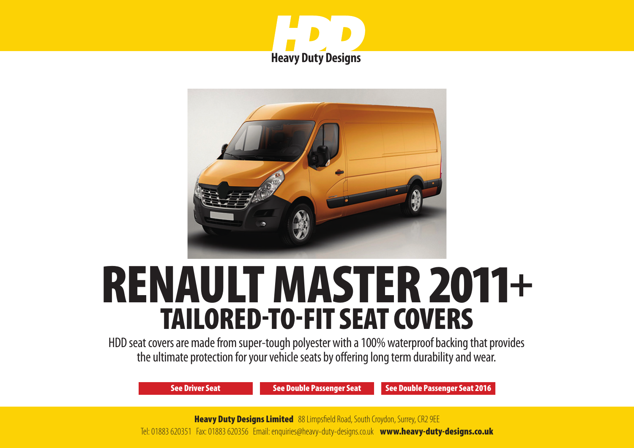



# RENAULT MASTER 2011+ TAILORED-TO-FIT SEAT COVERS

HDD seat covers are made from super-tough polyester with a 100% waterproof backing that provides the ultimate protection for your vehicle seats by offering long term durability and wear.

[See Driver Seat](#page-1-0) [See Double Passenger Seat](#page-2-0) [See Double Passenger Seat 2016](#page-3-0)

**Heavy Duty Designs Limited** 88 Limpsfield Road, South Croydon, Surrey, CR2 9EE Tel: 01883 620351 Fax: 01883 620356 Email: enquiries@heavy-duty-designs.co.uk www.heavy-duty-designs.co.uk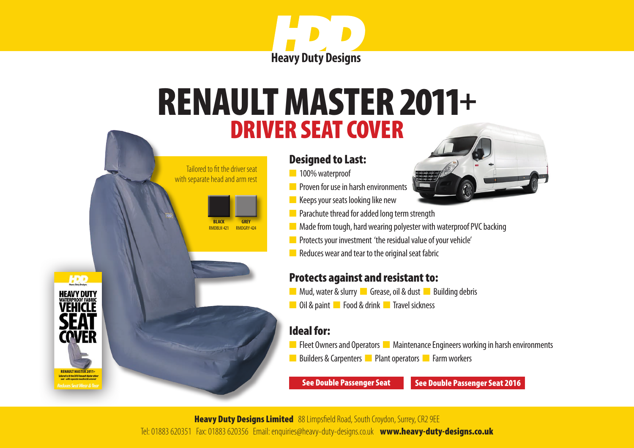

# <span id="page-1-0"></span>DRIVER SEAT COVER RENAULT MASTER 2011+

#### Designed to Last:

n 100% waterproof

 Tailored to fit the driver seat with separate head and arm rest

> **BLACK** RMDRIK-421

**GREY** RMDGRY-42

- **n** Proven for use in harsh environments
- $\blacksquare$  Keeps your seats looking like new
- **n** Parachute thread for added long term strength
- $\blacksquare$  Made from tough, hard wearing polyester with waterproof PVC backing
- **n** Protects your investment 'the residual value of your vehicle'
- $\blacksquare$  Reduces wear and tear to the original seat fabric

#### Protects against and resistant to:

- **n** Mud, water & slurry **n** Grease, oil & dust **n** Building debris
- **n** Oil & paint **n** Food & drink **n** Travel sickness

#### Ideal for:

- **n** Fleet Owners and Operators **n** Maintenance Engineers working in harsh environments
- n Builders & Carpenters **n** Plant operators **n** Farm workers

[See Double Passenger Seat](#page-2-0) [See Double Passenger Seat 2016](#page-3-0)

**Heavy Duty Designs Limited** 88 Limpsfield Road, South Croydon, Surrey, CR2 9EE Tel: 01883 620351 Fax: 01883 620356 Email: enquiries@heavy-duty-designs.co.uk www.heavy-duty-designs.co.uk

HDD **HEAVY DUTY WATERPROOF FABRIC** VEHICLI **COVER** RENAULT MASTER 2011+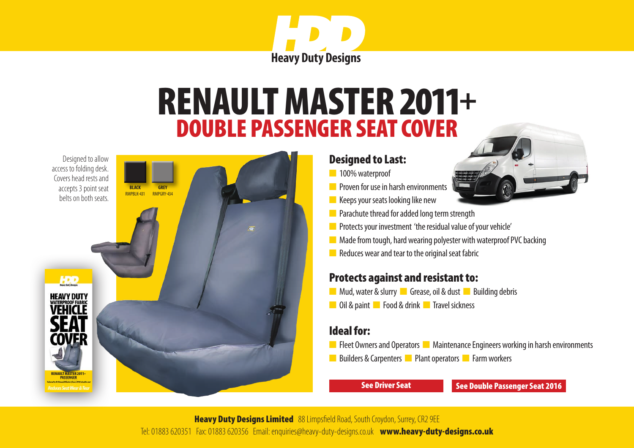

## DOUBLE PASSENGER SEAT COVER RENAULT MASTER 2011+

<span id="page-2-0"></span>Designed to allow access to folding desk. Covers head rests and accepts 3 point seat



#### Designed to Last:

- n 100% waterproof
- **n** Proven for use in harsh environments
- $\blacksquare$  Keeps your seats looking like new
- $\blacksquare$  Parachute thread for added long term strength
- **n** Protects your investment 'the residual value of your vehicle'
- $\blacksquare$  Made from tough, hard wearing polyester with waterproof PVC backing
- $\blacksquare$  Reduces wear and tear to the original seat fabric

#### Protects against and resistant to:

- **n** Mud, water & slurry **n** Grease, oil & dust **n** Building debris
- **n** Oil & paint **n** Food & drink **n** Travel sickness

#### Ideal for:

- **n** Fleet Owners and Operators **n** Maintenance Engineers working in harsh environments
- **n** Builders & Carpenters **n** Plant operators **n** Farm workers

[See Driver Seat](#page-1-0) [See Double Passenger Seat 2016](#page-3-0)

**Heavy Duty Designs Limited** 88 Limpsfield Road, South Croydon, Surrey, CR2 9EE Tel: 01883 620351 Fax: 01883 620356 Email: enquiries@heavy-duty-designs.co.uk www.heavy-duty-designs.co.uk